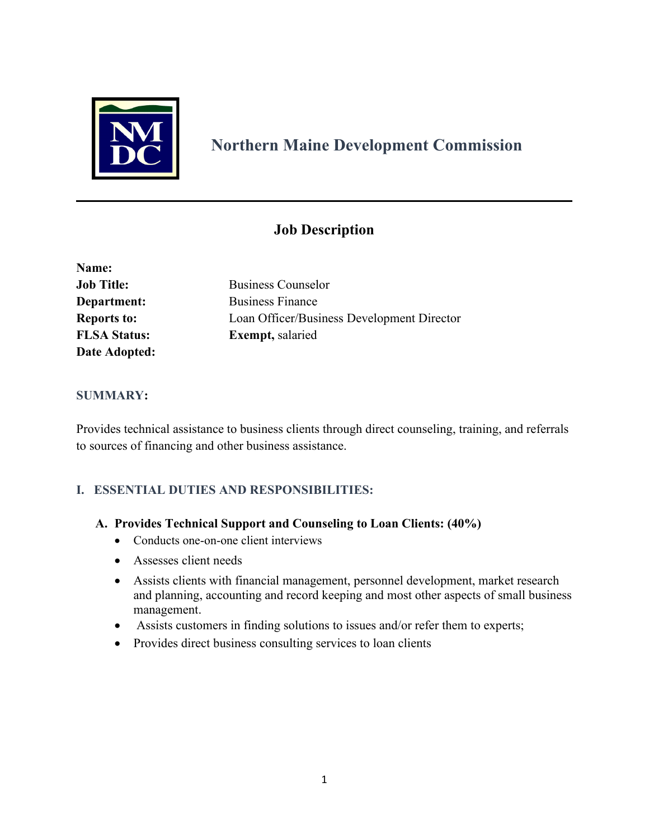

# **Northern Maine Development Commission**

# **Job Description**

| Name:               |                                            |
|---------------------|--------------------------------------------|
| <b>Job Title:</b>   | <b>Business Counselor</b>                  |
| Department:         | <b>Business Finance</b>                    |
| <b>Reports to:</b>  | Loan Officer/Business Development Director |
| <b>FLSA Status:</b> | <b>Exempt</b> , salaried                   |
| Date Adopted:       |                                            |

## **SUMMARY:**

Provides technical assistance to business clients through direct counseling, training, and referrals to sources of financing and other business assistance.

## **I. ESSENTIAL DUTIES AND RESPONSIBILITIES:**

- **A. Provides Technical Support and Counseling to Loan Clients: (40%)** 
	- Conducts one-on-one client interviews
	- Assesses client needs
	- Assists clients with financial management, personnel development, market research and planning, accounting and record keeping and most other aspects of small business management.
	- Assists customers in finding solutions to issues and/or refer them to experts;
	- Provides direct business consulting services to loan clients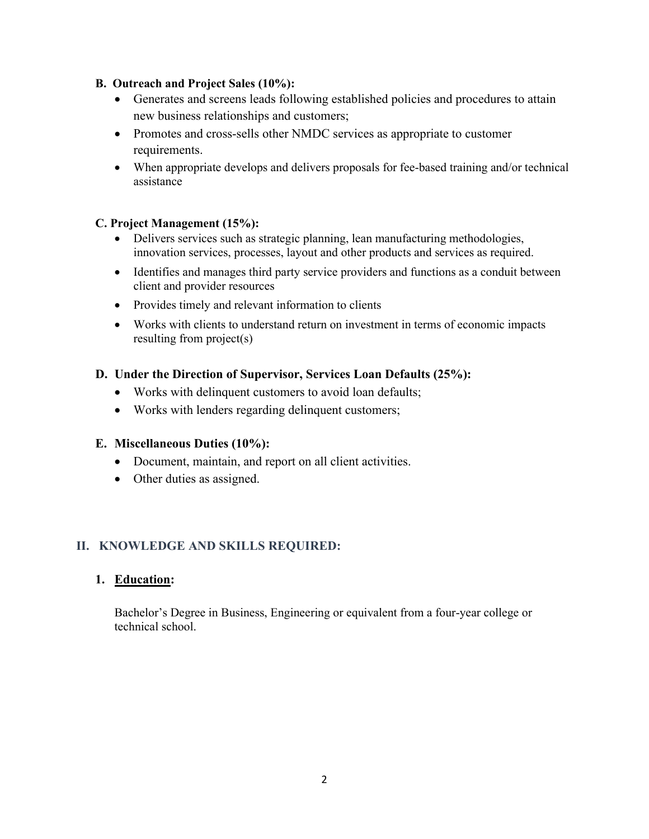#### **B. Outreach and Project Sales (10%):**

- Generates and screens leads following established policies and procedures to attain new business relationships and customers;
- Promotes and cross-sells other NMDC services as appropriate to customer requirements.
- When appropriate develops and delivers proposals for fee-based training and/or technical assistance

#### **C. Project Management (15%):**

- Delivers services such as strategic planning, lean manufacturing methodologies, innovation services, processes, layout and other products and services as required.
- Identifies and manages third party service providers and functions as a conduit between client and provider resources
- Provides timely and relevant information to clients
- Works with clients to understand return on investment in terms of economic impacts resulting from project(s)

## **D. Under the Direction of Supervisor, Services Loan Defaults (25%):**

- Works with delinquent customers to avoid loan defaults;
- Works with lenders regarding delinquent customers;

#### **E. Miscellaneous Duties (10%):**

- Document, maintain, and report on all client activities.
- Other duties as assigned.

## **II. KNOWLEDGE AND SKILLS REQUIRED:**

#### **1. Education:**

Bachelor's Degree in Business, Engineering or equivalent from a four-year college or technical school.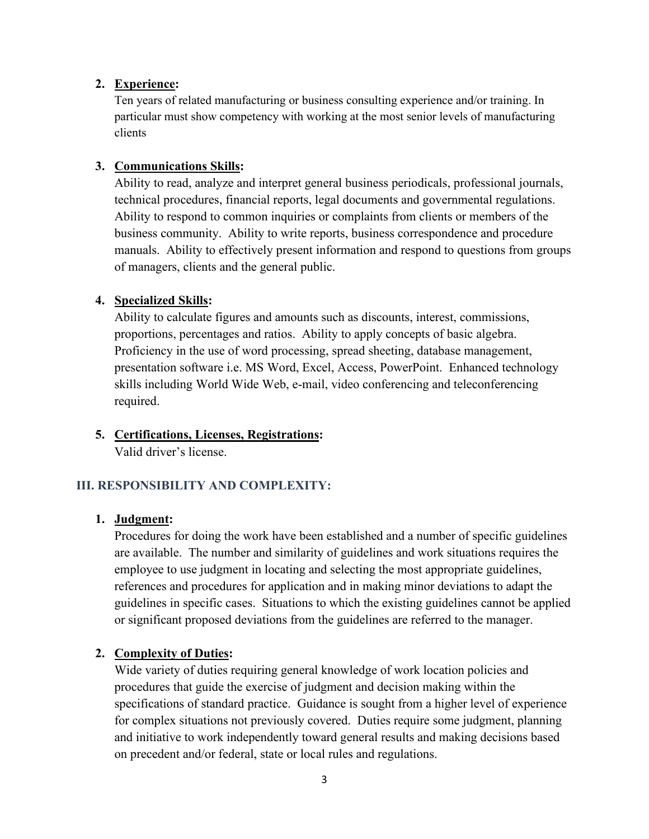#### **2. Experience:**

Ten years of related manufacturing or business consulting experience and/or training. In particular must show competency with working at the most senior levels of manufacturing clients

#### **3. Communications Skills:**

Ability to read, analyze and interpret general business periodicals, professional journals, technical procedures, financial reports, legal documents and governmental regulations. Ability to respond to common inquiries or complaints from clients or members of the business community. Ability to write reports, business correspondence and procedure manuals. Ability to effectively present information and respond to questions from groups of managers, clients and the general public.

#### **4. Specialized Skills:**

Ability to calculate figures and amounts such as discounts, interest, commissions, proportions, percentages and ratios. Ability to apply concepts of basic algebra. Proficiency in the use of word processing, spread sheeting, database management, presentation software i.e. MS Word, Excel, Access, PowerPoint. Enhanced technology skills including World Wide Web, e-mail, video conferencing and teleconferencing required.

## **5. Certifications, Licenses, Registrations:**

Valid driver's license.

## **III. RESPONSIBILITY AND COMPLEXITY:**

#### **1. Judgment:**

Procedures for doing the work have been established and a number of specific guidelines are available. The number and similarity of guidelines and work situations requires the employee to use judgment in locating and selecting the most appropriate guidelines, references and procedures for application and in making minor deviations to adapt the guidelines in specific cases. Situations to which the existing guidelines cannot be applied or significant proposed deviations from the guidelines are referred to the manager.

## **2. Complexity of Duties:**

Wide variety of duties requiring general knowledge of work location policies and procedures that guide the exercise of judgment and decision making within the specifications of standard practice. Guidance is sought from a higher level of experience for complex situations not previously covered. Duties require some judgment, planning and initiative to work independently toward general results and making decisions based on precedent and/or federal, state or local rules and regulations.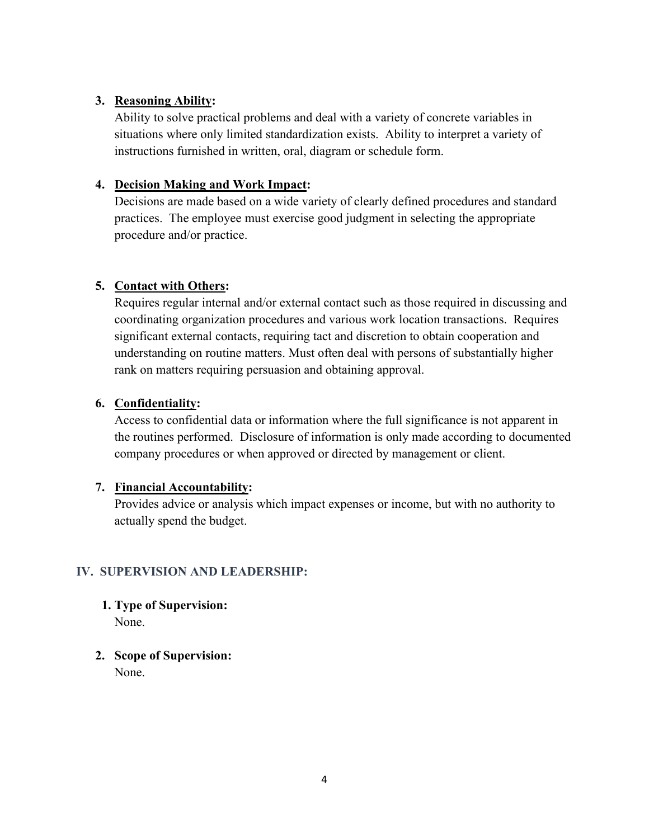## **3. Reasoning Ability:**

Ability to solve practical problems and deal with a variety of concrete variables in situations where only limited standardization exists. Ability to interpret a variety of instructions furnished in written, oral, diagram or schedule form.

## **4. Decision Making and Work Impact:**

Decisions are made based on a wide variety of clearly defined procedures and standard practices. The employee must exercise good judgment in selecting the appropriate procedure and/or practice.

# **5. Contact with Others:**

Requires regular internal and/or external contact such as those required in discussing and coordinating organization procedures and various work location transactions. Requires significant external contacts, requiring tact and discretion to obtain cooperation and understanding on routine matters. Must often deal with persons of substantially higher rank on matters requiring persuasion and obtaining approval.

# **6. Confidentiality:**

Access to confidential data or information where the full significance is not apparent in the routines performed. Disclosure of information is only made according to documented company procedures or when approved or directed by management or client.

# **7. Financial Accountability:**

Provides advice or analysis which impact expenses or income, but with no authority to actually spend the budget.

# **IV. SUPERVISION AND LEADERSHIP:**

- **1. Type of Supervision:** None.
- **2. Scope of Supervision:** None.